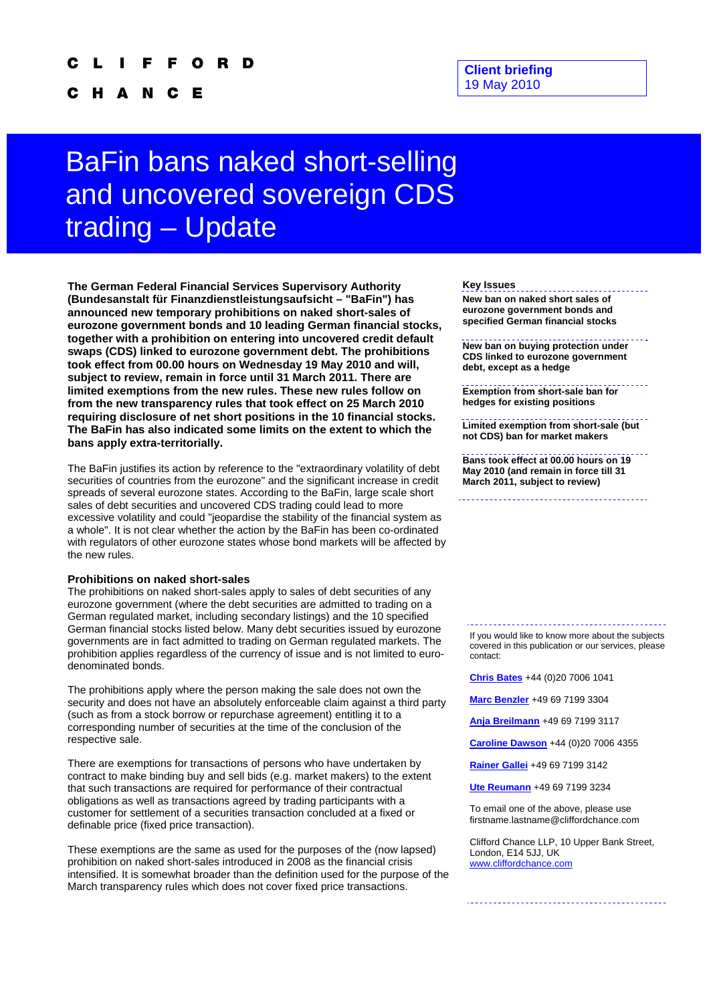C H A N C Е

## **Client briefing**  19 May 2010

# BaFin bans naked short-selling and uncovered sovereign CDS trading – Update

**The German Federal Financial Services Supervisory Authority (Bundesanstalt für Finanzdienstleistungsaufsicht – "BaFin") has announced new temporary prohibitions on naked short-sales of eurozone government bonds and 10 leading German financial stocks, together with a prohibition on entering into uncovered credit default swaps (CDS) linked to eurozone government debt. The prohibitions took effect from 00.00 hours on Wednesday 19 May 2010 and will, subject to review, remain in force until 31 March 2011. There are limited exemptions from the new rules. These new rules follow on from the new transparency rules that took effect on 25 March 2010 requiring disclosure of net short positions in the 10 financial stocks. The BaFin has also indicated some limits on the extent to which the bans apply extra-territorially.** 

The BaFin justifies its action by reference to the "extraordinary volatility of debt securities of countries from the eurozone" and the significant increase in credit spreads of several eurozone states. According to the BaFin, large scale short sales of debt securities and uncovered CDS trading could lead to more excessive volatility and could "jeopardise the stability of the financial system as a whole". It is not clear whether the action by the BaFin has been co-ordinated with regulators of other eurozone states whose bond markets will be affected by the new rules.

## **Prohibitions on naked short-sales**

The prohibitions on naked short-sales apply to sales of debt securities of any eurozone government (where the debt securities are admitted to trading on a German regulated market, including secondary listings) and the 10 specified German financial stocks listed below. Many debt securities issued by eurozone governments are in fact admitted to trading on German regulated markets. The prohibition applies regardless of the currency of issue and is not limited to eurodenominated bonds.

The prohibitions apply where the person making the sale does not own the security and does not have an absolutely enforceable claim against a third party (such as from a stock borrow or repurchase agreement) entitling it to a corresponding number of securities at the time of the conclusion of the respective sale.

There are exemptions for transactions of persons who have undertaken by contract to make binding buy and sell bids (e.g. market makers) to the extent that such transactions are required for performance of their contractual obligations as well as transactions agreed by trading participants with a customer for settlement of a securities transaction concluded at a fixed or definable price (fixed price transaction).

These exemptions are the same as used for the purposes of the (now lapsed) prohibition on naked short-sales introduced in 2008 as the financial crisis intensified. It is somewhat broader than the definition used for the purpose of the March transparency rules which does not cover fixed price transactions.

#### **Key Issues**

**New ban on naked short sales of eurozone government bonds and specified German financial stocks** 

**New ban on buying protection under CDS linked to eurozone government debt, except as a hedge**

**Exemption from short-sale ban for hedges for existing positions**

**Limited exemption from short-sale (but not CDS) ban for market makers**

**Bans took effect at 00.00 hours on 19 May 2010 (and remain in force till 31 March 2011, subject to review)**

If you would like to know more about the subjects covered in this publication or our services, please contact:

**[Chris Bates](mailto:Chris.Bates@cliffordchance.com)** +44 (0)20 7006 1041

**[Marc Benzler](mailto:Marc.Benzler@cliffordchance.com)** +49 69 7199 3304

**[Anja Breilmann](mailto:Anja.Breilmann@CliffordChance.com)** +49 69 7199 3117

**[Caroline Dawson](mailto:Caroline.Dawson@cliffordchance.com)** +44 (0)20 7006 4355

**[Rainer Gallei](mailto:rainer.gallei@cliffordchance.com)** +49 69 7199 3142

**[Ute Reumann](mailto:Ute.Reumann@cliffordchance.com)** +49 69 7199 3234

To email one of the above, please use firstname.lastname@cliffordchance.com

Clifford Chance LLP, 10 Upper Bank Street, London, E14 5JJ, UK [www.cliffordchance.com](http://www.cliffordchance.com/)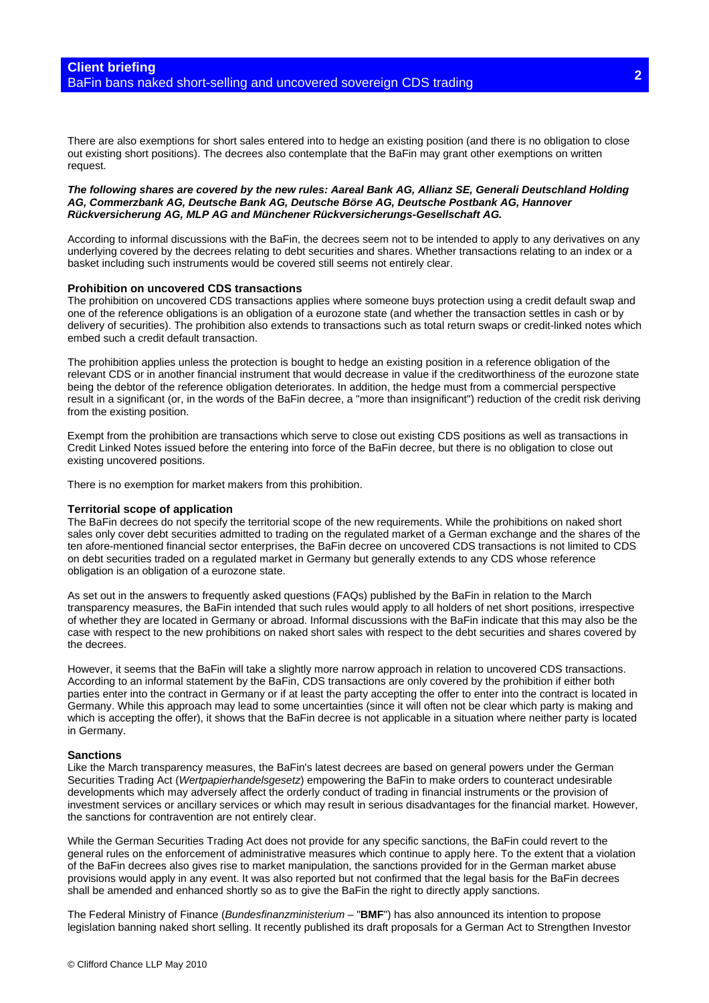There are also exemptions for short sales entered into to hedge an existing position (and there is no obligation to close out existing short positions). The decrees also contemplate that the BaFin may grant other exemptions on written request.

#### *The following shares are covered by the new rules: Aareal Bank AG, Allianz SE, Generali Deutschland Holding AG, Commerzbank AG, Deutsche Bank AG, Deutsche Börse AG, Deutsche Postbank AG, Hannover Rückversicherung AG, MLP AG and Münchener Rückversicherungs-Gesellschaft AG.*

According to informal discussions with the BaFin, the decrees seem not to be intended to apply to any derivatives on any underlying covered by the decrees relating to debt securities and shares. Whether transactions relating to an index or a basket including such instruments would be covered still seems not entirely clear.

### **Prohibition on uncovered CDS transactions**

The prohibition on uncovered CDS transactions applies where someone buys protection using a credit default swap and one of the reference obligations is an obligation of a eurozone state (and whether the transaction settles in cash or by delivery of securities). The prohibition also extends to transactions such as total return swaps or credit-linked notes which embed such a credit default transaction.

The prohibition applies unless the protection is bought to hedge an existing position in a reference obligation of the relevant CDS or in another financial instrument that would decrease in value if the creditworthiness of the eurozone state being the debtor of the reference obligation deteriorates. In addition, the hedge must from a commercial perspective result in a significant (or, in the words of the BaFin decree, a "more than insignificant") reduction of the credit risk deriving from the existing position.

Exempt from the prohibition are transactions which serve to close out existing CDS positions as well as transactions in Credit Linked Notes issued before the entering into force of the BaFin decree, but there is no obligation to close out existing uncovered positions.

There is no exemption for market makers from this prohibition.

#### **Territorial scope of application**

The BaFin decrees do not specify the territorial scope of the new requirements. While the prohibitions on naked short sales only cover debt securities admitted to trading on the regulated market of a German exchange and the shares of the ten afore-mentioned financial sector enterprises, the BaFin decree on uncovered CDS transactions is not limited to CDS on debt securities traded on a regulated market in Germany but generally extends to any CDS whose reference obligation is an obligation of a eurozone state.

As set out in the answers to frequently asked questions (FAQs) published by the BaFin in relation to the March transparency measures, the BaFin intended that such rules would apply to all holders of net short positions, irrespective of whether they are located in Germany or abroad. Informal discussions with the BaFin indicate that this may also be the case with respect to the new prohibitions on naked short sales with respect to the debt securities and shares covered by the decrees.

However, it seems that the BaFin will take a slightly more narrow approach in relation to uncovered CDS transactions. According to an informal statement by the BaFin, CDS transactions are only covered by the prohibition if either both parties enter into the contract in Germany or if at least the party accepting the offer to enter into the contract is located in Germany. While this approach may lead to some uncertainties (since it will often not be clear which party is making and which is accepting the offer), it shows that the BaFin decree is not applicable in a situation where neither party is located in Germany.

#### **Sanctions**

Like the March transparency measures, the BaFin's latest decrees are based on general powers under the German Securities Trading Act (*Wertpapierhandelsgesetz*) empowering the BaFin to make orders to counteract undesirable developments which may adversely affect the orderly conduct of trading in financial instruments or the provision of investment services or ancillary services or which may result in serious disadvantages for the financial market. However, the sanctions for contravention are not entirely clear.

While the German Securities Trading Act does not provide for any specific sanctions, the BaFin could revert to the general rules on the enforcement of administrative measures which continue to apply here. To the extent that a violation of the BaFin decrees also gives rise to market manipulation, the sanctions provided for in the German market abuse provisions would apply in any event. It was also reported but not confirmed that the legal basis for the BaFin decrees shall be amended and enhanced shortly so as to give the BaFin the right to directly apply sanctions.

The Federal Ministry of Finance (*Bundesfinanzministerium* – "**BMF**") has also announced its intention to propose legislation banning naked short selling. It recently published its draft proposals for a German Act to Strengthen Investor